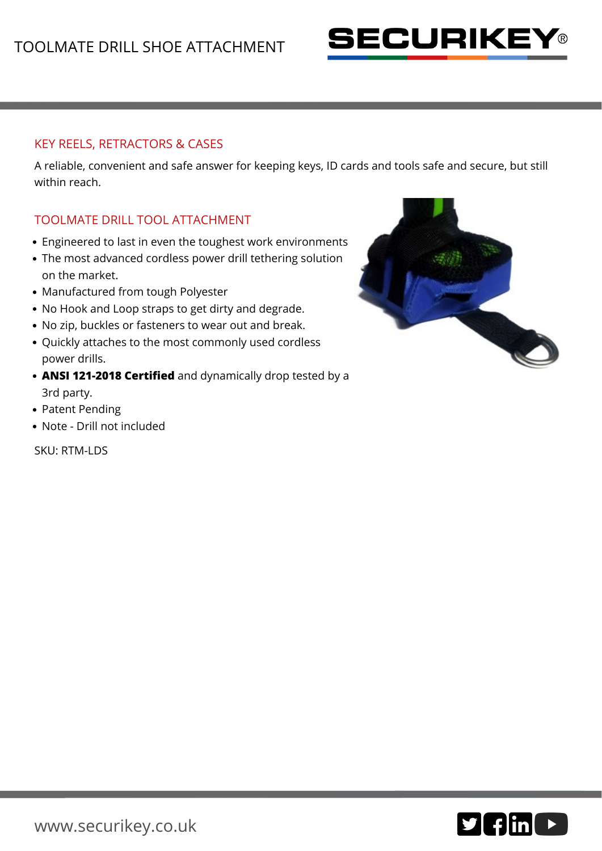

## KEY REELS, RETRACTORS & CASES

A reliable, convenient and safe answer for keeping keys, ID cards and tools safe and secure, but still within reach.

## TOOLMATE DRILL TOOL ATTACHMENT

- Engineered to last in even the toughest work environments
- The most advanced cordless power drill tethering solution on the market.
- Manufactured from tough Polyester
- No Hook and Loop straps to get dirty and degrade.
- No zip, buckles or fasteners to wear out and break.
- Quickly attaches to the most commonly used cordless power drills.
- **ANSI 121-2018 Certified** and dynamically drop tested by a 3rd party.
- Patent Pending
- Note Drill not included

SKU: RTM-LDS



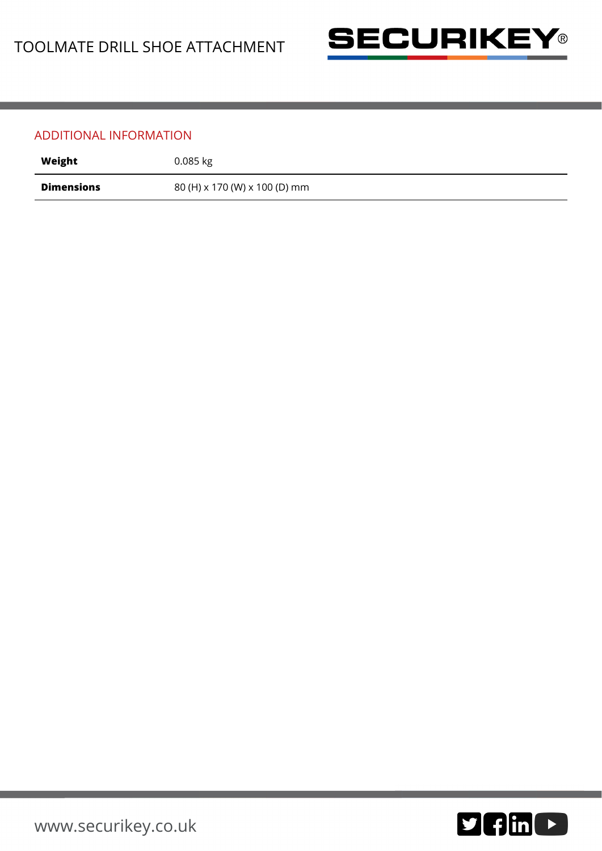

## ADDITIONAL INFORMATION

| Weight            | $0.085$ kg                    |
|-------------------|-------------------------------|
| <b>Dimensions</b> | 80 (H) x 170 (W) x 100 (D) mm |

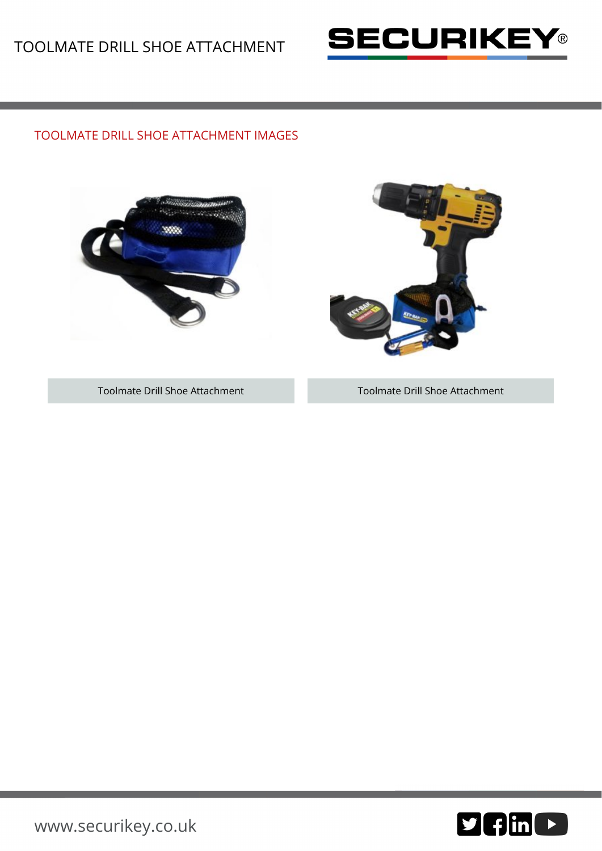

## TOOLMATE DRILL SHOE ATTACHMENT IMAGES





Toolmate Drill Shoe Attachment Toolmate Drill Shoe Attachment